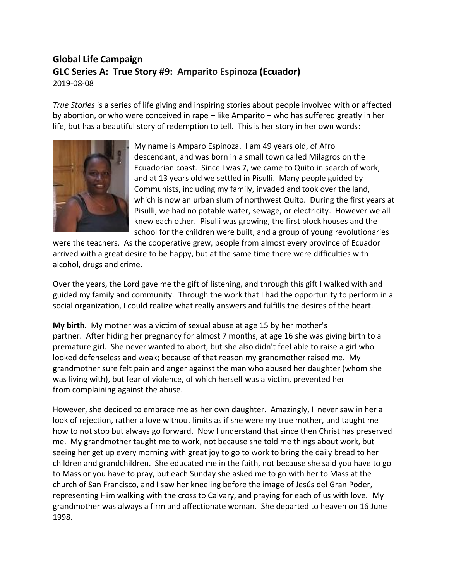## **Global Life Campaign GLC Series A: True Story #9: Amparito Espinoza (Ecuador)**  2019-08-08

*True Stories* is a series of life giving and inspiring stories about people involved with or affected by abortion, or who were conceived in rape – like Amparito – who has suffered greatly in her life, but has a beautiful story of redemption to tell. This is her story in her own words:



My name is Amparo Espinoza. I am 49 years old, of Afro descendant, and was born in a small town called Milagros on the Ecuadorian coast. Since I was 7, we came to Quito in search of work, and at 13 years old we settled in Pisulli. Many people guided by Communists, including my family, invaded and took over the land, which is now an urban slum of northwest Quito. During the first years at Pisulli, we had no potable water, sewage, or electricity. However we all knew each other. Pisulli was growing, the first block houses and the school for the children were built, and a group of young revolutionaries

were the teachers. As the cooperative grew, people from almost every province of Ecuador arrived with a great desire to be happy, but at the same time there were difficulties with alcohol, drugs and crime.

Over the years, the Lord gave me the gift of listening, and through this gift I walked with and guided my family and community. Through the work that I had the opportunity to perform in a social organization, I could realize what really answers and fulfills the desires of the heart.

**My birth.** My mother was a victim of sexual abuse at age 15 by her mother's partner. After hiding her pregnancy for almost 7 months, at age 16 she was giving birth to a premature girl. She never wanted to abort, but she also didn't feel able to raise a girl who looked defenseless and weak; because of that reason my grandmother raised me. My grandmother sure felt pain and anger against the man who abused her daughter (whom she was living with), but fear of violence, of which herself was a victim, prevented her from complaining against the abuse.

However, she decided to embrace me as her own daughter. Amazingly, I never saw in her a look of rejection, rather a love without limits as if she were my true mother, and taught me how to not stop but always go forward. Now I understand that since then Christ has preserved me. My grandmother taught me to work, not because she told me things about work, but seeing her get up every morning with great joy to go to work to bring the daily bread to her children and grandchildren. She educated me in the faith, not because she said you have to go to Mass or you have to pray, but each Sunday she asked me to go with her to Mass at the church of San Francisco, and I saw her kneeling before the image of Jesús del Gran Poder, representing Him walking with the cross to Calvary, and praying for each of us with love. My grandmother was always a firm and affectionate woman. She departed to heaven on 16 June 1998.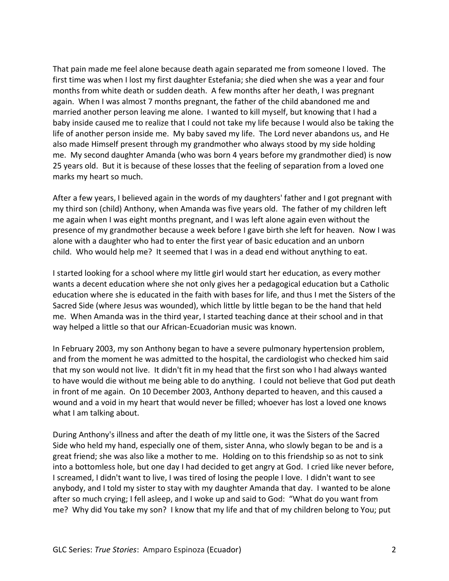That pain made me feel alone because death again separated me from someone I loved. The first time was when I lost my first daughter Estefania; she died when she was a year and four months from white death or sudden death. A few months after her death, I was pregnant again. When I was almost 7 months pregnant, the father of the child abandoned me and married another person leaving me alone. I wanted to kill myself, but knowing that I had a baby inside caused me to realize that I could not take my life because I would also be taking the life of another person inside me. My baby saved my life. The Lord never abandons us, and He also made Himself present through my grandmother who always stood by my side holding me. My second daughter Amanda (who was born 4 years before my grandmother died) is now 25 years old. But it is because of these losses that the feeling of separation from a loved one marks my heart so much.

After a few years, I believed again in the words of my daughters' father and I got pregnant with my third son (child) Anthony, when Amanda was five years old. The father of my children left me again when I was eight months pregnant, and I was left alone again even without the presence of my grandmother because a week before I gave birth she left for heaven. Now I was alone with a daughter who had to enter the first year of basic education and an unborn child. Who would help me? It seemed that I was in a dead end without anything to eat.

I started looking for a school where my little girl would start her education, as every mother wants a decent education where she not only gives her a pedagogical education but a Catholic education where she is educated in the faith with bases for life, and thus I met the Sisters of the Sacred Side (where Jesus was wounded), which little by little began to be the hand that held me. When Amanda was in the third year, I started teaching dance at their school and in that way helped a little so that our African-Ecuadorian music was known.

In February 2003, my son Anthony began to have a severe pulmonary hypertension problem, and from the moment he was admitted to the hospital, the cardiologist who checked him said that my son would not live. It didn't fit in my head that the first son who I had always wanted to have would die without me being able to do anything. I could not believe that God put death in front of me again. On 10 December 2003, Anthony departed to heaven, and this caused a wound and a void in my heart that would never be filled; whoever has lost a loved one knows what I am talking about.

During Anthony's illness and after the death of my little one, it was the Sisters of the Sacred Side who held my hand, especially one of them, sister Anna, who slowly began to be and is a great friend; she was also like a mother to me. Holding on to this friendship so as not to sink into a bottomless hole, but one day I had decided to get angry at God. I cried like never before, I screamed, I didn't want to live, I was tired of losing the people I love. I didn't want to see anybody, and I told my sister to stay with my daughter Amanda that day. I wanted to be alone after so much crying; I fell asleep, and I woke up and said to God: "What do you want from me? Why did You take my son? I know that my life and that of my children belong to You; put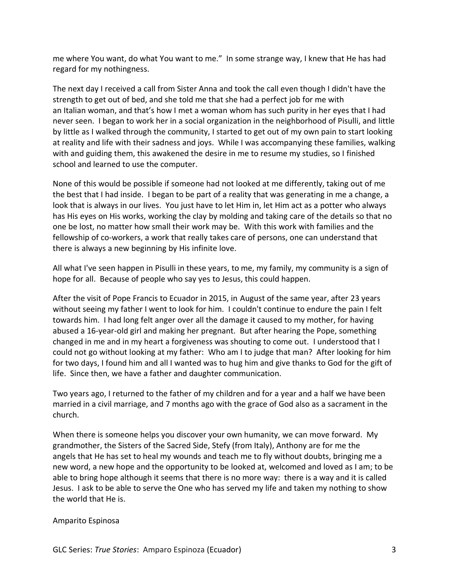me where You want, do what You want to me." In some strange way, I knew that He has had regard for my nothingness.

The next day I received a call from Sister Anna and took the call even though I didn't have the strength to get out of bed, and she told me that she had a perfect job for me with an Italian woman, and that's how I met a woman whom has such purity in her eyes that I had never seen. I began to work her in a social organization in the neighborhood of Pisulli, and little by little as I walked through the community, I started to get out of my own pain to start looking at reality and life with their sadness and joys. While I was accompanying these families, walking with and guiding them, this awakened the desire in me to resume my studies, so I finished school and learned to use the computer.

None of this would be possible if someone had not looked at me differently, taking out of me the best that I had inside. I began to be part of a reality that was generating in me a change, a look that is always in our lives. You just have to let Him in, let Him act as a potter who always has His eyes on His works, working the clay by molding and taking care of the details so that no one be lost, no matter how small their work may be. With this work with families and the fellowship of co-workers, a work that really takes care of persons, one can understand that there is always a new beginning by His infinite love.

All what I've seen happen in Pisulli in these years, to me, my family, my community is a sign of hope for all. Because of people who say yes to Jesus, this could happen.

After the visit of Pope Francis to Ecuador in 2015, in August of the same year, after 23 years without seeing my father I went to look for him. I couldn't continue to endure the pain I felt towards him. I had long felt anger over all the damage it caused to my mother, for having abused a 16-year-old girl and making her pregnant. But after hearing the Pope, something changed in me and in my heart a forgiveness was shouting to come out. I understood that I could not go without looking at my father: Who am I to judge that man? After looking for him for two days, I found him and all I wanted was to hug him and give thanks to God for the gift of life. Since then, we have a father and daughter communication.

Two years ago, I returned to the father of my children and for a year and a half we have been married in a civil marriage, and 7 months ago with the grace of God also as a sacrament in the church.

When there is someone helps you discover your own humanity, we can move forward. My grandmother, the Sisters of the Sacred Side, Stefy (from Italy), Anthony are for me the angels that He has set to heal my wounds and teach me to fly without doubts, bringing me a new word, a new hope and the opportunity to be looked at, welcomed and loved as I am; to be able to bring hope although it seems that there is no more way: there is a way and it is called Jesus. I ask to be able to serve the One who has served my life and taken my nothing to show the world that He is.

## Amparito Espinosa